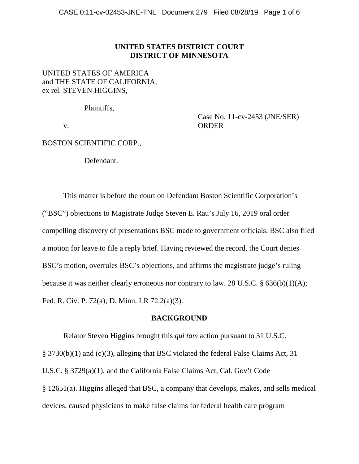## **UNITED STATES DISTRICT COURT DISTRICT OF MINNESOTA**

# UNITED STATES OF AMERICA and THE STATE OF CALIFORNIA, ex rel*.* STEVEN HIGGINS,

Plaintiffs,

v.

Case No. 11-cv-2453 (JNE/SER) ORDER

# BOSTON SCIENTIFIC CORP.,

Defendant.

This matter is before the court on Defendant Boston Scientific Corporation's ("BSC") objections to Magistrate Judge Steven E. Rau's July 16, 2019 oral order compelling discovery of presentations BSC made to government officials. BSC also filed a motion for leave to file a reply brief. Having reviewed the record, the Court denies BSC's motion, overrules BSC's objections, and affirms the magistrate judge's ruling because it was neither clearly erroneous nor contrary to law. 28 U.S.C. § 636(b)(1)(A); Fed. R. Civ. P. 72(a); D. Minn. LR 72.2(a)(3).

# **BACKGROUND**

Relator Steven Higgins brought this *qui tam* action pursuant to 31 U.S.C. § 3730(b)(1) and (c)(3), alleging that BSC violated the federal False Claims Act, 31 U.S.C. § 3729(a)(1), and the California False Claims Act, Cal. Gov't Code § 12651(a). Higgins alleged that BSC, a company that develops, makes, and sells medical devices, caused physicians to make false claims for federal health care program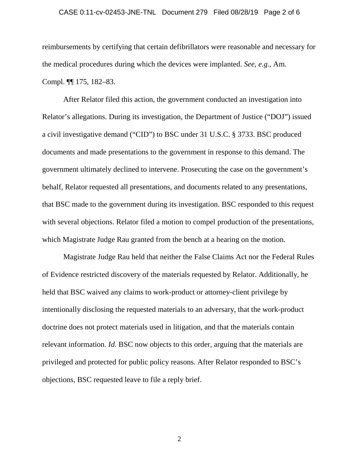#### CASE 0:11-cv-02453-JNE-TNL Document 279 Filed 08/28/19 Page 2 of 6

reimbursements by certifying that certain defibrillators were reasonable and necessary for the medical procedures during which the devices were implanted. *See, e.g.*, Am*.* Compl. ¶¶ 175, 182–83.

After Relator filed this action, the government conducted an investigation into Relator's allegations. During its investigation, the Department of Justice ("DOJ") issued a civil investigative demand ("CID") to BSC under 31 U.S.C. § 3733. BSC produced documents and made presentations to the government in response to this demand. The government ultimately declined to intervene. Prosecuting the case on the government's behalf, Relator requested all presentations, and documents related to any presentations, that BSC made to the government during its investigation. BSC responded to this request with several objections. Relator filed a motion to compel production of the presentations, which Magistrate Judge Rau granted from the bench at a hearing on the motion.

Magistrate Judge Rau held that neither the False Claims Act nor the Federal Rules of Evidence restricted discovery of the materials requested by Relator. Additionally, he held that BSC waived any claims to work-product or attorney-client privilege by intentionally disclosing the requested materials to an adversary, that the work-product doctrine does not protect materials used in litigation, and that the materials contain relevant information. *Id.* BSC now objects to this order, arguing that the materials are privileged and protected for public policy reasons. After Relator responded to BSC's objections, BSC requested leave to file a reply brief.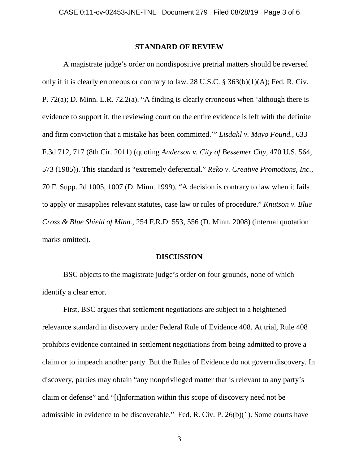### **STANDARD OF REVIEW**

A magistrate judge's order on nondispositive pretrial matters should be reversed only if it is clearly erroneous or contrary to law. 28 U.S.C. § 363(b)(1)(A); Fed. R. Civ. P. 72(a); D. Minn. L.R. 72.2(a). "A finding is clearly erroneous when 'although there is evidence to support it, the reviewing court on the entire evidence is left with the definite and firm conviction that a mistake has been committed.'" *Lisdahl v. Mayo Found.*, 633 F.3d 712, 717 (8th Cir. 2011) (quoting *Anderson v. City of Bessemer City*, 470 U.S. 564, 573 (1985)). This standard is "extremely deferential." *Reko v. Creative Promotions, Inc.*, 70 F. Supp. 2d 1005, 1007 (D. Minn. 1999). "A decision is contrary to law when it fails to apply or misapplies relevant statutes, case law or rules of procedure." *Knutson v. Blue Cross & Blue Shield of Minn.*, 254 F.R.D. 553, 556 (D. Minn. 2008) (internal quotation marks omitted).

#### **DISCUSSION**

BSC objects to the magistrate judge's order on four grounds, none of which identify a clear error.

First, BSC argues that settlement negotiations are subject to a heightened relevance standard in discovery under Federal Rule of Evidence 408. At trial, Rule 408 prohibits evidence contained in settlement negotiations from being admitted to prove a claim or to impeach another party. But the Rules of Evidence do not govern discovery. In discovery, parties may obtain "any nonprivileged matter that is relevant to any party's claim or defense" and "[i]nformation within this scope of discovery need not be admissible in evidence to be discoverable." Fed. R. Civ. P. 26(b)(1). Some courts have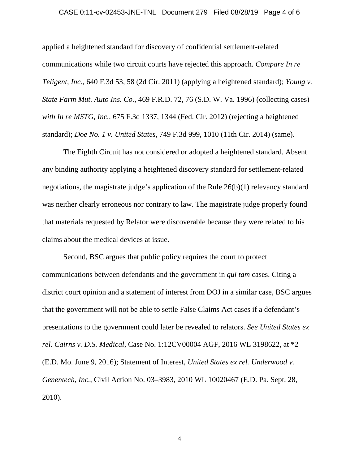#### CASE 0:11-cv-02453-JNE-TNL Document 279 Filed 08/28/19 Page 4 of 6

applied a heightened standard for discovery of confidential settlement-related communications while two circuit courts have rejected this approach. *Compare In re Teligent, Inc.*, 640 F.3d 53, 58 (2d Cir. 2011) (applying a heightened standard); *Young v. State Farm Mut. Auto Ins. Co.*, 469 F.R.D. 72, 76 (S.D. W. Va. 1996) (collecting cases) *with In re MSTG, Inc.*, 675 F.3d 1337, 1344 (Fed. Cir. 2012) (rejecting a heightened standard); *Doe No. 1 v. United States*, 749 F.3d 999, 1010 (11th Cir. 2014) (same).

The Eighth Circuit has not considered or adopted a heightened standard. Absent any binding authority applying a heightened discovery standard for settlement-related negotiations, the magistrate judge's application of the Rule 26(b)(1) relevancy standard was neither clearly erroneous nor contrary to law. The magistrate judge properly found that materials requested by Relator were discoverable because they were related to his claims about the medical devices at issue.

Second, BSC argues that public policy requires the court to protect communications between defendants and the government in *qui tam* cases. Citing a district court opinion and a statement of interest from DOJ in a similar case, BSC argues that the government will not be able to settle False Claims Act cases if a defendant's presentations to the government could later be revealed to relators. *See United States ex rel. Cairns v. D.S. Medical*, Case No. 1:12CV00004 AGF, 2016 WL 3198622, at \*2 (E.D. Mo. June 9, 2016); Statement of Interest, *United States ex rel. Underwood v. Genentech, Inc.*, Civil Action No. 03–3983, 2010 WL 10020467 (E.D. Pa. Sept. 28, 2010).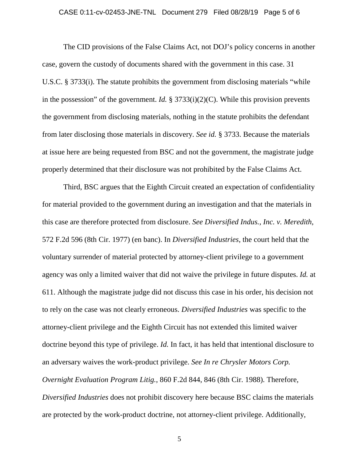### CASE 0:11-cv-02453-JNE-TNL Document 279 Filed 08/28/19 Page 5 of 6

The CID provisions of the False Claims Act, not DOJ's policy concerns in another case, govern the custody of documents shared with the government in this case. 31 U.S.C. § 3733(i). The statute prohibits the government from disclosing materials "while in the possession" of the government. *Id.* § 3733(i)(2)(C). While this provision prevents the government from disclosing materials, nothing in the statute prohibits the defendant from later disclosing those materials in discovery. *See id.* § 3733. Because the materials at issue here are being requested from BSC and not the government, the magistrate judge properly determined that their disclosure was not prohibited by the False Claims Act.

Third, BSC argues that the Eighth Circuit created an expectation of confidentiality for material provided to the government during an investigation and that the materials in this case are therefore protected from disclosure. *See Diversified Indus., Inc. v. Meredith*, 572 F.2d 596 (8th Cir. 1977) (en banc). In *Diversified Industries*, the court held that the voluntary surrender of material protected by attorney-client privilege to a government agency was only a limited waiver that did not waive the privilege in future disputes. *Id.* at 611. Although the magistrate judge did not discuss this case in his order, his decision not to rely on the case was not clearly erroneous. *Diversified Industries* was specific to the attorney-client privilege and the Eighth Circuit has not extended this limited waiver doctrine beyond this type of privilege. *Id.* In fact, it has held that intentional disclosure to an adversary waives the work-product privilege. *See In re Chrysler Motors Corp. Overnight Evaluation Program Litig.*, 860 F.2d 844, 846 (8th Cir. 1988). Therefore, *Diversified Industries* does not prohibit discovery here because BSC claims the materials are protected by the work-product doctrine, not attorney-client privilege. Additionally,